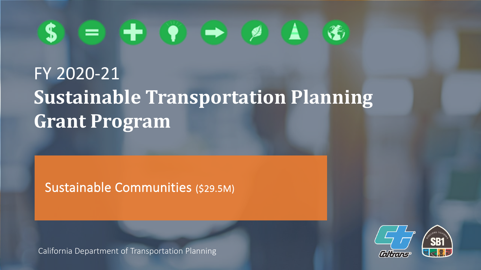#### $\bullet$ S.

# FY 2020-21 **Sustainable Transportation Planning Grant Program**

Sustainable Communities (\$29.5M)

California Department of Transportation Planning

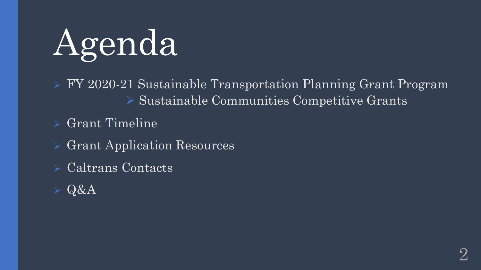

➢ FY 2020-21 Sustainable Transportation Planning Grant Program ➢ Sustainable Communities Competitive Grants

➢ Grant Timeline

➢ Grant Application Resources

➢ Caltrans Contacts

➢ Q&A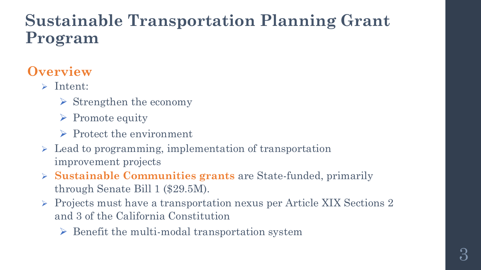## **Sustainable Transportation Planning Grant Program**

### **Overview**

- ➢ Intent:
	- $\triangleright$  Strengthen the economy
	- $\triangleright$  Promote equity
	- ➢ Protect the environment
- ➢ Lead to programming, implementation of transportation improvement projects
- ➢ **Sustainable Communities grants** are State-funded, primarily through Senate Bill 1 (\$29.5M).
- ➢ Projects must have a transportation nexus per Article XIX Sections 2 and 3 of the California Constitution
	- $\triangleright$  Benefit the multi-modal transportation system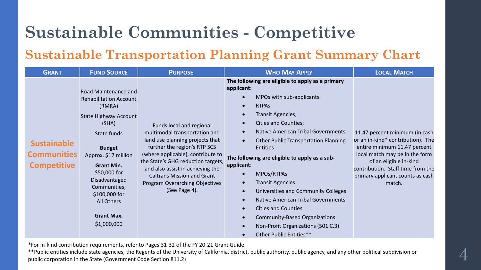#### **Sustainable Transportation Planning Grant Summary Chart**

| <b>GRANT</b>                                                   | <b>FUND SOURCE</b>                                                                                                                                                                                                                                                                                        | <b>PURPOSE</b>                                                                                                                                                                                                                                                                                                                      | <b>WHO MAY APPLY</b>                                                                                                                                                                                                                                                                                                                                                                                                                                                                                                                                                                                                                 | <b>LOCAL MATCH</b>                                                                                                                                                                                                                                 |
|----------------------------------------------------------------|-----------------------------------------------------------------------------------------------------------------------------------------------------------------------------------------------------------------------------------------------------------------------------------------------------------|-------------------------------------------------------------------------------------------------------------------------------------------------------------------------------------------------------------------------------------------------------------------------------------------------------------------------------------|--------------------------------------------------------------------------------------------------------------------------------------------------------------------------------------------------------------------------------------------------------------------------------------------------------------------------------------------------------------------------------------------------------------------------------------------------------------------------------------------------------------------------------------------------------------------------------------------------------------------------------------|----------------------------------------------------------------------------------------------------------------------------------------------------------------------------------------------------------------------------------------------------|
| <b>Sustainable</b><br><b>Communities</b><br><b>Competitive</b> | Road Maintenance and<br><b>Rehabilitation Account</b><br>(RMRA)<br><b>State Highway Account</b><br>(SHA)<br>State funds<br><b>Budget</b><br>Approx. \$17 million<br><b>Grant Min.</b><br>\$50,000 for<br>Disadvantaged<br>Communities;<br>\$100,000 for<br>All Others<br><b>Grant Max.</b><br>\$1,000,000 | Funds local and regional<br>multimodal transportation and<br>land use planning projects that<br>further the region's RTP SCS<br>(where applicable), contribute to<br>the State's GHG reduction targets,<br>and also assist in achieving the<br><b>Caltrans Mission and Grant</b><br>Program Overarching Objectives<br>(See Page 4). | The following are eligible to apply as a primary<br>applicant:<br>MPOs with sub-applicants<br><b>RTPAS</b><br><b>Transit Agencies;</b><br><b>Cities and Counties;</b><br><b>Native American Tribal Governments</b><br><b>Other Public Transportation Planning</b><br>$\bullet$<br><b>Entities</b><br>The following are eligible to apply as a sub-<br>applicant:<br>MPOs/RTPAs<br><b>Transit Agencies</b><br>Universities and Community Colleges<br><b>Native American Tribal Governments</b><br><b>Cities and Counties</b><br><b>Community-Based Organizations</b><br>Non-Profit Organizations (501.C.3)<br>Other Public Entities** | 11.47 percent minimum (in cash<br>or an in-kind* contribution). The<br>entire minimum 11.47 percent<br>local match may be in the form<br>of an eligible in-kind<br>contribution. Staff time from the<br>primary applicant counts as cash<br>match. |

\*For in-kind contribution requirements, refer to Pages 31-32 of the FY 20-21 Grant Guide.

\*\*Public entities include state agencies, the Regents of the University of California, district, public authority, public agency, and any other political subdivision or public corporation in the State (Government Code Section 811.2)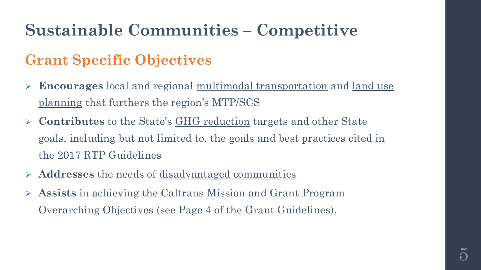### **Grant Specific Objectives**

- ➢ **Encourages** local and regional multimodal transportation and land use planning that furthers the region's MTP/SCS
- ➢ **Contributes** to the State's GHG reduction targets and other State goals, including but not limited to, the goals and best practices cited in the 2017 RTP Guidelines
- ➢ **Addresses** the needs of disadvantaged communities
- ➢ **Assists** in achieving the Caltrans Mission and Grant Program Overarching Objectives (see Page 4 of the Grant Guidelines).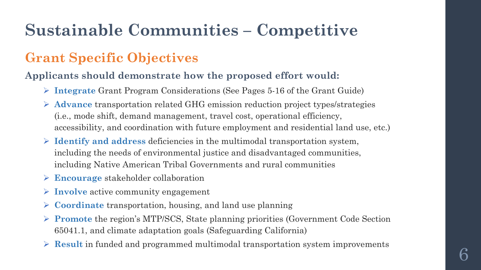### **Grant Specific Objectives**

#### **Applicants should demonstrate how the proposed effort would:**

- ➢ **Integrate** Grant Program Considerations (See Pages 5-16 of the Grant Guide)
- ➢ **Advance** transportation related GHG emission reduction project types/strategies (i.e., mode shift, demand management, travel cost, operational efficiency, accessibility, and coordination with future employment and residential land use, etc.)
- ➢ **Identify and address** deficiencies in the multimodal transportation system, including the needs of environmental justice and disadvantaged communities, including Native American Tribal Governments and rural communities
- ➢ **Encourage** stakeholder collaboration
- ➢ **Involve** active community engagement
- ➢ **Coordinate** transportation, housing, and land use planning
- ➢ **Promote** the region's MTP/SCS, State planning priorities (Government Code Section 65041.1, and climate adaptation goals (Safeguarding California)
- ➢ **Result** in funded and programmed multimodal transportation system improvements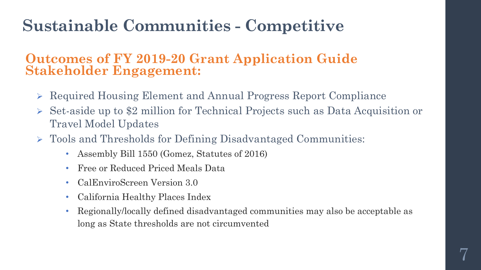#### **Outcomes of FY 2019-20 Grant Application Guide Stakeholder Engagement:**

- ➢ Required Housing Element and Annual Progress Report Compliance
- ➢ Set-aside up to \$2 million for Technical Projects such as Data Acquisition or Travel Model Updates
- ➢ Tools and Thresholds for Defining Disadvantaged Communities:
	- Assembly Bill 1550 (Gomez, Statutes of 2016)
	- Free or Reduced Priced Meals Data
	- CalEnviroScreen Version 3.0
	- California Healthy Places Index
	- Regionally/locally defined disadvantaged communities may also be acceptable as long as State thresholds are not circumvented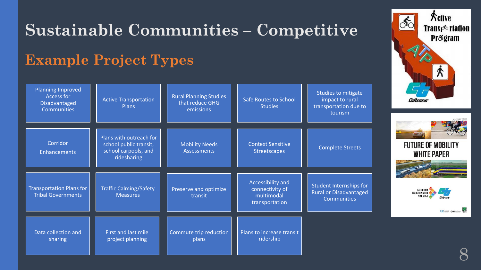#### **Transpight relation Pr**&gram **Example Project Types** Planning Improved Studies to mitigate Access for Rural Planning Studies Safe Routes to School Active Transportation impact to rural Caltrans Disadvantaged that reduce GHG Plans **Studies** transportation due to **Communities** emissions tourism Plans with outreach for **Corridor** school public transit, Mobility Needs Context Sensitive **FUTURE OF MOBILITY** Streetscapes **Complete Streets** school carpools, and **Assessments** Enhancements **WHITE PAPER** ridesharing Accessibility and Student Internships for Traffic Calming/Safety Transportation Plans for Preserve and optimize connectivity of CALIFORNIA Rural or Disadvantaged TRANSPORTATION **Measures** Tribal Governments multimodal transit **PLAN 2050 Communities** transportation **UCONNECT CHESSICKING** Data collection and First and last mile Commute trip reduction Plans to increase transit ridership sharing project planning plans 8

## **Sustainable Communities – Competitive**

**Active**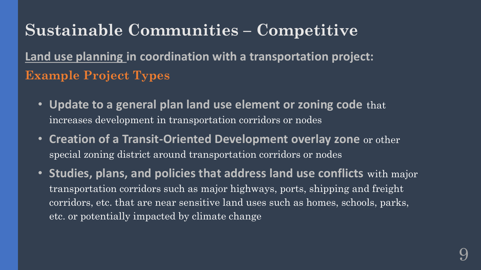**Land use planning in coordination with a transportation project: Example Project Types**

- **Update to a general plan land use element or zoning code** that increases development in transportation corridors or nodes
- **Creation of a Transit-Oriented Development overlay zone** or other special zoning district around transportation corridors or nodes
- **Studies, plans, and policies that address land use conflicts** with major transportation corridors such as major highways, ports, shipping and freight corridors, etc. that are near sensitive land uses such as homes, schools, parks, etc. or potentially impacted by climate change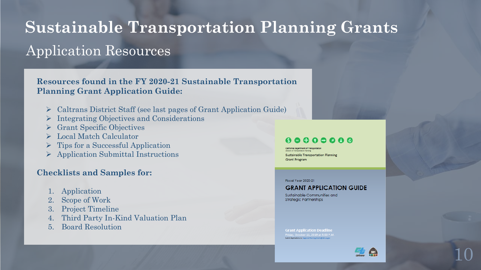# Application Resources **Sustainable Transportation Planning Grants**

#### **Resources found in the FY 2020-21 Sustainable Transportation Planning Grant Application Guide:**

- ➢ Caltrans District Staff (see last pages of Grant Application Guide)
- ➢ Integrating Objectives and Considerations
- ➢ Grant Specific Objectives
- ➢ Local Match Calculator
- $\triangleright$  Tips for a Successful Application
- ➢ Application Submittal Instructions

#### **Checklists and Samples for:**

- 1. Application
- 2. Scope of Work
- 3. Project Timeline
- 4. Third Party In-Kind Valuation Plan
- 5. Board Resolution

#### $0 0 0 0 0 0 0 0$

**Sustainable Transportation Planning Grant Program** 

#### Fiscal Year 2020-21

#### **GRANT APPLICATION GUIDE**

Sustainable Communities and **Strategic Partnerships** 

**Grant Application Deadline** 



10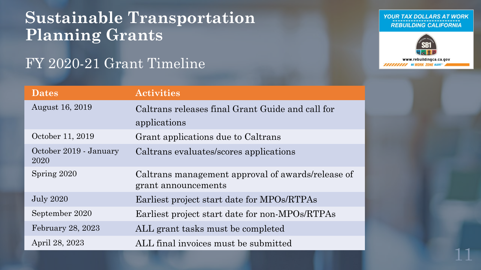### **Sustainable Transportation Planning Grants**

### FY 2020-21 Grant Timeline

#### YOUR TAX DOLLARS AT WORK **REBUILDING CALIFORNIA**



11

| <b>Dates</b>                   | <b>Activities</b>                                                        |  |
|--------------------------------|--------------------------------------------------------------------------|--|
| <b>August 16, 2019</b>         | Caltrans releases final Grant Guide and call for<br>applications         |  |
| October 11, 2019               | Grant applications due to Caltrans                                       |  |
| October 2019 - January<br>2020 | Caltrans evaluates/scores applications                                   |  |
| Spring 2020                    | Caltrans management approval of awards/release of<br>grant announcements |  |
| <b>July 2020</b>               | Earliest project start date for MPOs/RTPAs                               |  |
| September 2020                 | Earliest project start date for non-MPOs/RTPAs                           |  |
| February 28, 2023              | ALL grant tasks must be completed                                        |  |
| April 28, 2023                 | ALL final invoices must be submitted                                     |  |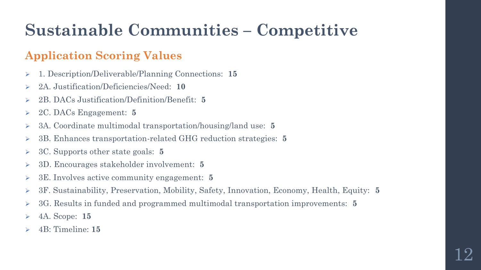#### **Application Scoring Values**

- ➢ 1. Description/Deliverable/Planning Connections: **15**
- ➢ 2A. Justification/Deficiencies/Need: **10**
- ➢ 2B. DACs Justification/Definition/Benefit: **5**
- ➢ 2C. DACs Engagement: **5**
- ➢ 3A. Coordinate multimodal transportation/housing/land use: **5**
- ➢ 3B. Enhances transportation-related GHG reduction strategies: **5**
- ➢ 3C. Supports other state goals: **5**
- ➢ 3D. Encourages stakeholder involvement: **5**
- ➢ 3E. Involves active community engagement: **5**
- ➢ 3F. Sustainability, Preservation, Mobility, Safety, Innovation, Economy, Health, Equity: **5**
- ➢ 3G. Results in funded and programmed multimodal transportation improvements: **5**
- ➢ 4A. Scope: **15**
- ➢ 4B: Timeline: **15**